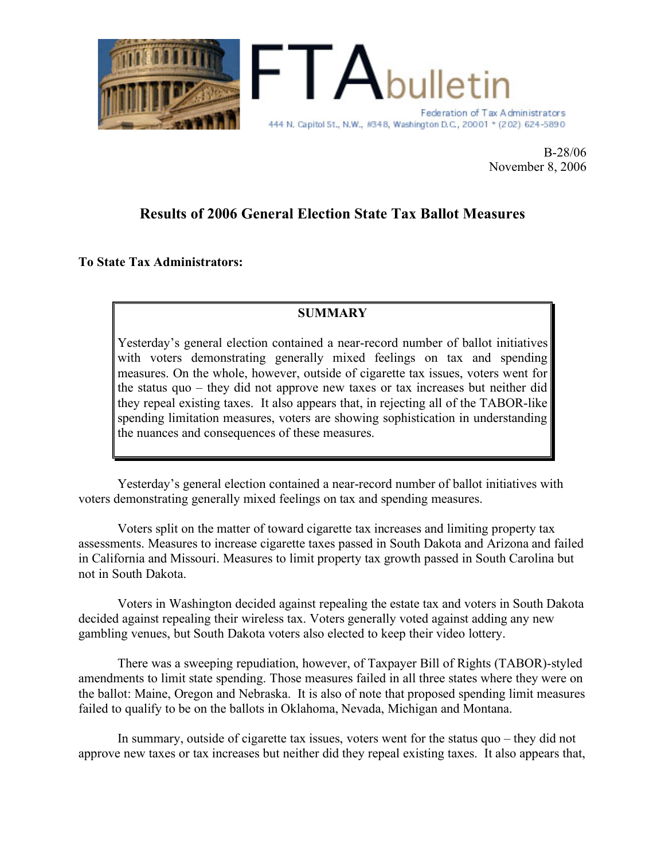

B-28/06 November 8, 2006

# **Results of 2006 General Election State Tax Ballot Measures**

**To State Tax Administrators:**

# **SUMMARY**

Yesterday's general election contained a near-record number of ballot initiatives with voters demonstrating generally mixed feelings on tax and spending measures. On the whole, however, outside of cigarette tax issues, voters went for the status quo – they did not approve new taxes or tax increases but neither did they repeal existing taxes. It also appears that, in rejecting all of the TABOR-like spending limitation measures, voters are showing sophistication in understanding the nuances and consequences of these measures.

Yesterday's general election contained a near-record number of ballot initiatives with voters demonstrating generally mixed feelings on tax and spending measures.

Voters split on the matter of toward cigarette tax increases and limiting property tax assessments. Measures to increase cigarette taxes passed in South Dakota and Arizona and failed in California and Missouri. Measures to limit property tax growth passed in South Carolina but not in South Dakota.

Voters in Washington decided against repealing the estate tax and voters in South Dakota decided against repealing their wireless tax. Voters generally voted against adding any new gambling venues, but South Dakota voters also elected to keep their video lottery.

There was a sweeping repudiation, however, of Taxpayer Bill of Rights (TABOR)-styled amendments to limit state spending. Those measures failed in all three states where they were on the ballot: Maine, Oregon and Nebraska. It is also of note that proposed spending limit measures failed to qualify to be on the ballots in Oklahoma, Nevada, Michigan and Montana.

In summary, outside of cigarette tax issues, voters went for the status quo – they did not approve new taxes or tax increases but neither did they repeal existing taxes. It also appears that,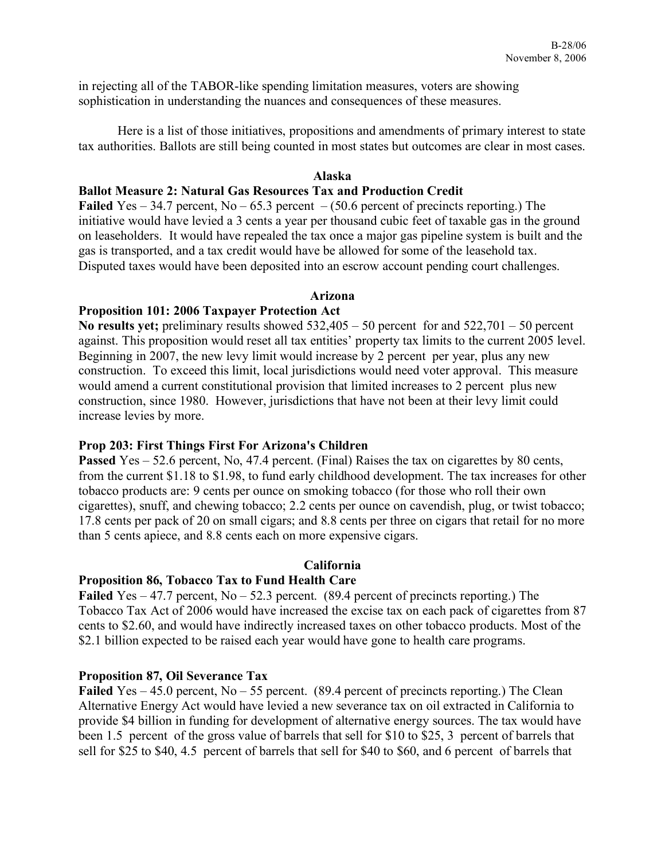in rejecting all of the TABOR-like spending limitation measures, voters are showing sophistication in understanding the nuances and consequences of these measures.

Here is a list of those initiatives, propositions and amendments of primary interest to state tax authorities. Ballots are still being counted in most states but outcomes are clear in most cases.

#### **Alaska**

### **Ballot Measure 2: Natural Gas Resources Tax and Production Credit**

**Failed** Yes – 34.7 percent, No – 65.3 percent – (50.6 percent of precincts reporting.) The initiative would have levied a 3 cents a year per thousand cubic feet of taxable gas in the ground on leaseholders. It would have repealed the tax once a major gas pipeline system is built and the gas is transported, and a tax credit would have be allowed for some of the leasehold tax. Disputed taxes would have been deposited into an escrow account pending court challenges.

#### **Arizona**

# **Proposition 101: 2006 Taxpayer Protection Act**

**No results yet;** preliminary results showed 532,405 – 50 percent for and 522,701 – 50 percent against. This proposition would reset all tax entities' property tax limits to the current 2005 level. Beginning in 2007, the new levy limit would increase by 2 percent per year, plus any new construction. To exceed this limit, local jurisdictions would need voter approval. This measure would amend a current constitutional provision that limited increases to 2 percent plus new construction, since 1980. However, jurisdictions that have not been at their levy limit could increase levies by more.

# **Prop 203: First Things First For Arizona's Children**

**Passed** Yes – 52.6 percent, No, 47.4 percent. (Final) Raises the tax on cigarettes by 80 cents, from the current \$1.18 to \$1.98, to fund early childhood development. The tax increases for other tobacco products are: 9 cents per ounce on smoking tobacco (for those who roll their own cigarettes), snuff, and chewing tobacco; 2.2 cents per ounce on cavendish, plug, or twist tobacco; 17.8 cents per pack of 20 on small cigars; and 8.8 cents per three on cigars that retail for no more than 5 cents apiece, and 8.8 cents each on more expensive cigars.

# **California**

# **Proposition 86, Tobacco Tax to Fund Health Care**

**Failed** Yes – 47.7 percent, No – 52.3 percent. (89.4 percent of precincts reporting.) The Tobacco Tax Act of 2006 would have increased the excise tax on each pack of cigarettes from 87 cents to \$2.60, and would have indirectly increased taxes on other tobacco products. Most of the \$2.1 billion expected to be raised each year would have gone to health care programs.

# **Proposition 87, Oil Severance Tax**

**Failed** Yes – 45.0 percent, No – 55 percent. (89.4 percent of precincts reporting.) The Clean Alternative Energy Act would have levied a new severance tax on oil extracted in California to provide \$4 billion in funding for development of alternative energy sources. The tax would have been 1.5 percent of the gross value of barrels that sell for \$10 to \$25, 3 percent of barrels that sell for \$25 to \$40, 4.5 percent of barrels that sell for \$40 to \$60, and 6 percent of barrels that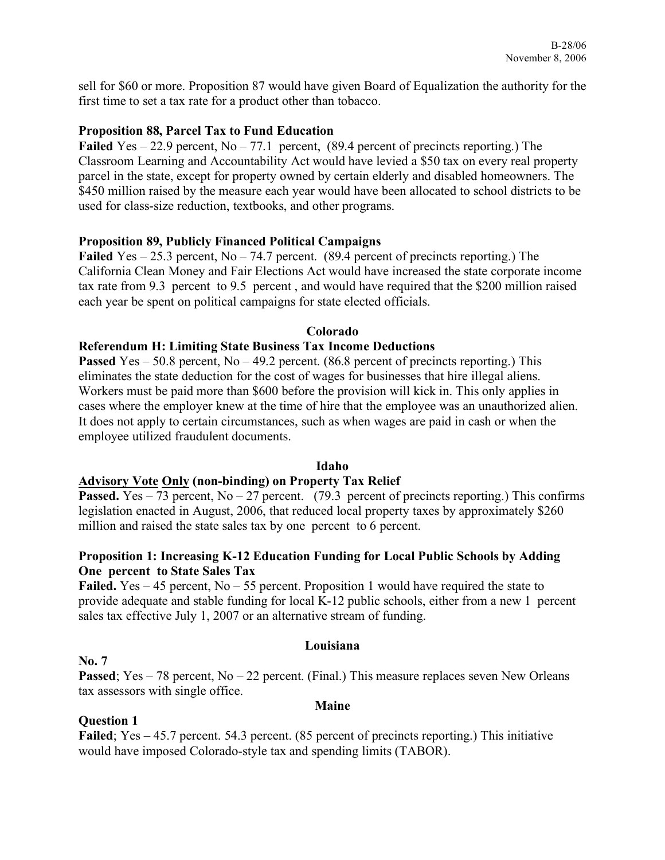sell for \$60 or more. Proposition 87 would have given Board of Equalization the authority for the first time to set a tax rate for a product other than tobacco.

# **Proposition 88, Parcel Tax to Fund Education**

**Failed** Yes – 22.9 percent, No – 77.1 percent, (89.4 percent of precincts reporting.) The Classroom Learning and Accountability Act would have levied a \$50 tax on every real property parcel in the state, except for property owned by certain elderly and disabled homeowners. The \$450 million raised by the measure each year would have been allocated to school districts to be used for class-size reduction, textbooks, and other programs.

# **Proposition 89, Publicly Financed Political Campaigns**

**Failed** Yes – 25.3 percent, No – 74.7 percent. (89.4 percent of precincts reporting.) The California Clean Money and Fair Elections Act would have increased the state corporate income tax rate from 9.3 percent to 9.5 percent , and would have required that the \$200 million raised each year be spent on political campaigns for state elected officials.

# **Colorado**

# **Referendum H: Limiting State Business Tax Income Deductions**

**Passed** Yes – 50.8 percent, No – 49.2 percent. (86.8 percent of precincts reporting.) This eliminates the state deduction for the cost of wages for businesses that hire illegal aliens. Workers must be paid more than \$600 before the provision will kick in. This only applies in cases where the employer knew at the time of hire that the employee was an unauthorized alien. It does not apply to certain circumstances, such as when wages are paid in cash or when the employee utilized fraudulent documents.

# **Idaho**

# **Advisory Vote Only (non-binding) on Property Tax Relief**

**Passed.** Yes – 73 percent,  $No - 27$  percent. (79.3 percent of precincts reporting.) This confirms legislation enacted in August, 2006, that reduced local property taxes by approximately \$260 million and raised the state sales tax by one percent to 6 percent.

# **Proposition 1: Increasing K-12 Education Funding for Local Public Schools by Adding One percent to State Sales Tax**

Failed. Yes – 45 percent, No – 55 percent. Proposition 1 would have required the state to provide adequate and stable funding for local K-12 public schools, either from a new 1 percent sales tax effective July 1, 2007 or an alternative stream of funding.

# **Louisiana**

# **No. 7**

**Passed**; Yes – 78 percent, No – 22 percent. (Final.) This measure replaces seven New Orleans tax assessors with single office.

# **Maine**

# **Question 1**

**Failed**; Yes – 45.7 percent. 54.3 percent. (85 percent of precincts reporting.) This initiative would have imposed Colorado-style tax and spending limits (TABOR).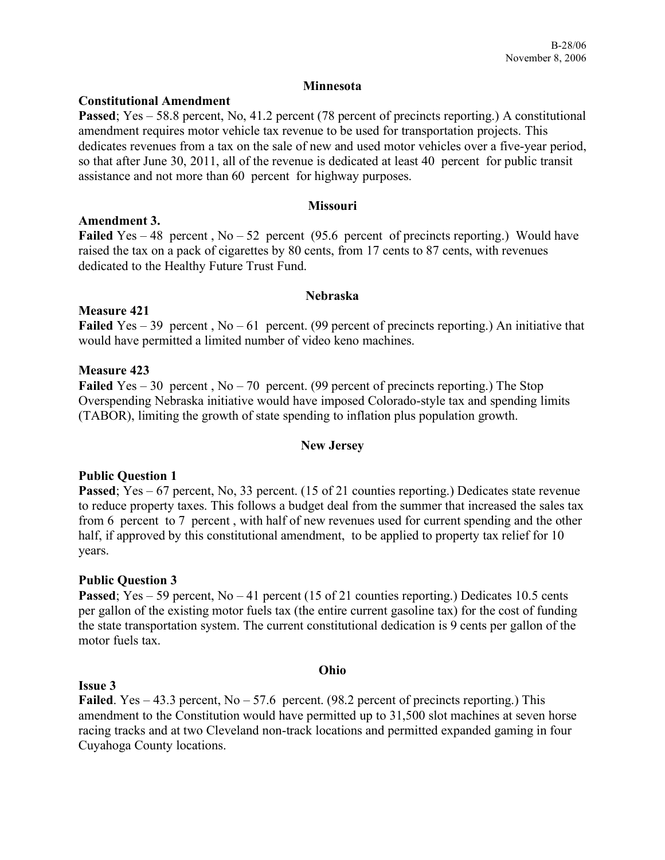#### **Minnesota**

### **Constitutional Amendment**

**Passed**; Yes – 58.8 percent, No, 41.2 percent (78 percent of precincts reporting.) A constitutional amendment requires motor vehicle tax revenue to be used for transportation projects. This dedicates revenues from a tax on the sale of new and used motor vehicles over a five-year period, so that after June 30, 2011, all of the revenue is dedicated at least 40 percent for public transit assistance and not more than 60 percent for highway purposes.

#### **Missouri**

#### **Amendment 3.**

Failed Yes – 48 percent, No – 52 percent (95.6 percent of precincts reporting.) Would have raised the tax on a pack of cigarettes by 80 cents, from 17 cents to 87 cents, with revenues dedicated to the Healthy Future Trust Fund.

#### **Nebraska**

# **Measure 421**

Failed Yes – 39 percent, No – 61 percent. (99 percent of precincts reporting.) An initiative that would have permitted a limited number of video keno machines.

#### **Measure 423**

**Failed** Yes – 30 percent, No – 70 percent. (99 percent of precincts reporting.) The Stop Overspending Nebraska initiative would have imposed Colorado-style tax and spending limits (TABOR), limiting the growth of state spending to inflation plus population growth.

# **New Jersey**

# **Public Question 1**

**Passed**; Yes – 67 percent, No, 33 percent. (15 of 21 counties reporting.) Dedicates state revenue to reduce property taxes. This follows a budget deal from the summer that increased the sales tax from 6 percent to 7 percent , with half of new revenues used for current spending and the other half, if approved by this constitutional amendment, to be applied to property tax relief for 10 years.

# **Public Question 3**

**Passed**; Yes – 59 percent, No – 41 percent (15 of 21 counties reporting.) Dedicates 10.5 cents per gallon of the existing motor fuels tax (the entire current gasoline tax) for the cost of funding the state transportation system. The current constitutional dedication is 9 cents per gallon of the motor fuels tax.

#### **Ohio**

#### **Issue 3**

Failed. Yes – 43.3 percent, No – 57.6 percent. (98.2 percent of precincts reporting.) This amendment to the Constitution would have permitted up to 31,500 slot machines at seven horse racing tracks and at two Cleveland non-track locations and permitted expanded gaming in four Cuyahoga County locations.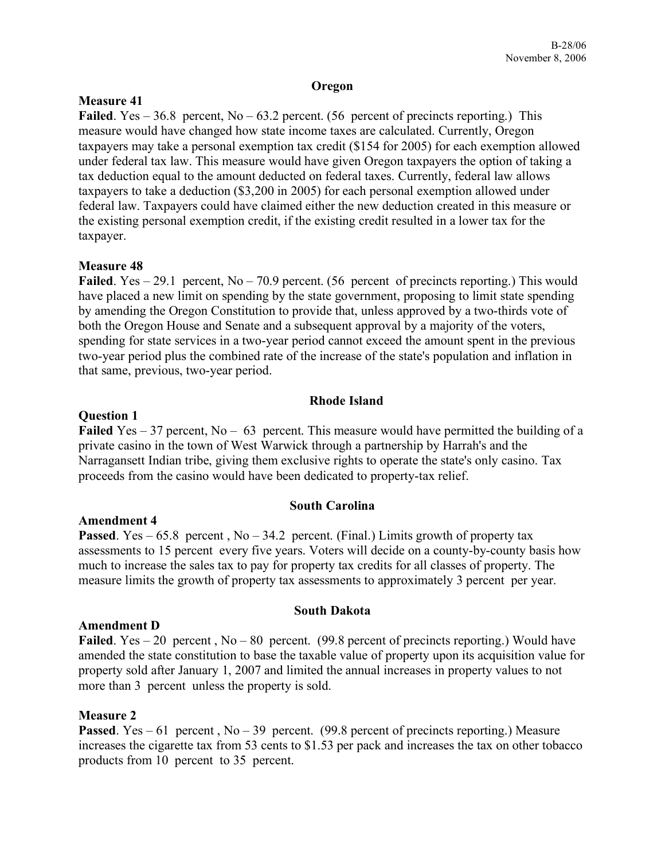### **Oregon**

# **Measure 41**

**Failed**. Yes  $-36.8$  percent, No  $-63.2$  percent. (56 percent of precincts reporting.) This measure would have changed how state income taxes are calculated. Currently, Oregon taxpayers may take a personal exemption tax credit (\$154 for 2005) for each exemption allowed under federal tax law. This measure would have given Oregon taxpayers the option of taking a tax deduction equal to the amount deducted on federal taxes. Currently, federal law allows taxpayers to take a deduction (\$3,200 in 2005) for each personal exemption allowed under federal law. Taxpayers could have claimed either the new deduction created in this measure or the existing personal exemption credit, if the existing credit resulted in a lower tax for the taxpayer.

# **Measure 48**

Failed. Yes – 29.1 percent, No – 70.9 percent. (56 percent of precincts reporting.) This would have placed a new limit on spending by the state government, proposing to limit state spending by amending the Oregon Constitution to provide that, unless approved by a two-thirds vote of both the Oregon House and Senate and a subsequent approval by a majority of the voters, spending for state services in a two-year period cannot exceed the amount spent in the previous two-year period plus the combined rate of the increase of the state's population and inflation in that same, previous, two-year period.

# **Rhode Island**

# **Question 1**

**Failed** Yes – 37 percent, No – 63 percent. This measure would have permitted the building of a private casino in the town of West Warwick through a partnership by Harrah's and the Narragansett Indian tribe, giving them exclusive rights to operate the state's only casino. Tax proceeds from the casino would have been dedicated to property-tax relief.

# **South Carolina**

# **Amendment 4**

**Passed**. Yes – 65.8 percent,  $No - 34.2$  percent. (Final.) Limits growth of property tax assessments to 15 percent every five years. Voters will decide on a county-by-county basis how much to increase the sales tax to pay for property tax credits for all classes of property. The measure limits the growth of property tax assessments to approximately 3 percent per year.

# **Amendment D**

Failed. Yes – 20 percent, No – 80 percent. (99.8 percent of precincts reporting.) Would have amended the state constitution to base the taxable value of property upon its acquisition value for property sold after January 1, 2007 and limited the annual increases in property values to not more than 3 percent unless the property is sold.

**South Dakota**

# **Measure 2**

**Passed**. Yes – 61 percent,  $No - 39$  percent. (99.8 percent of precincts reporting.) Measure increases the cigarette tax from 53 cents to \$1.53 per pack and increases the tax on other tobacco products from 10 percent to 35 percent.